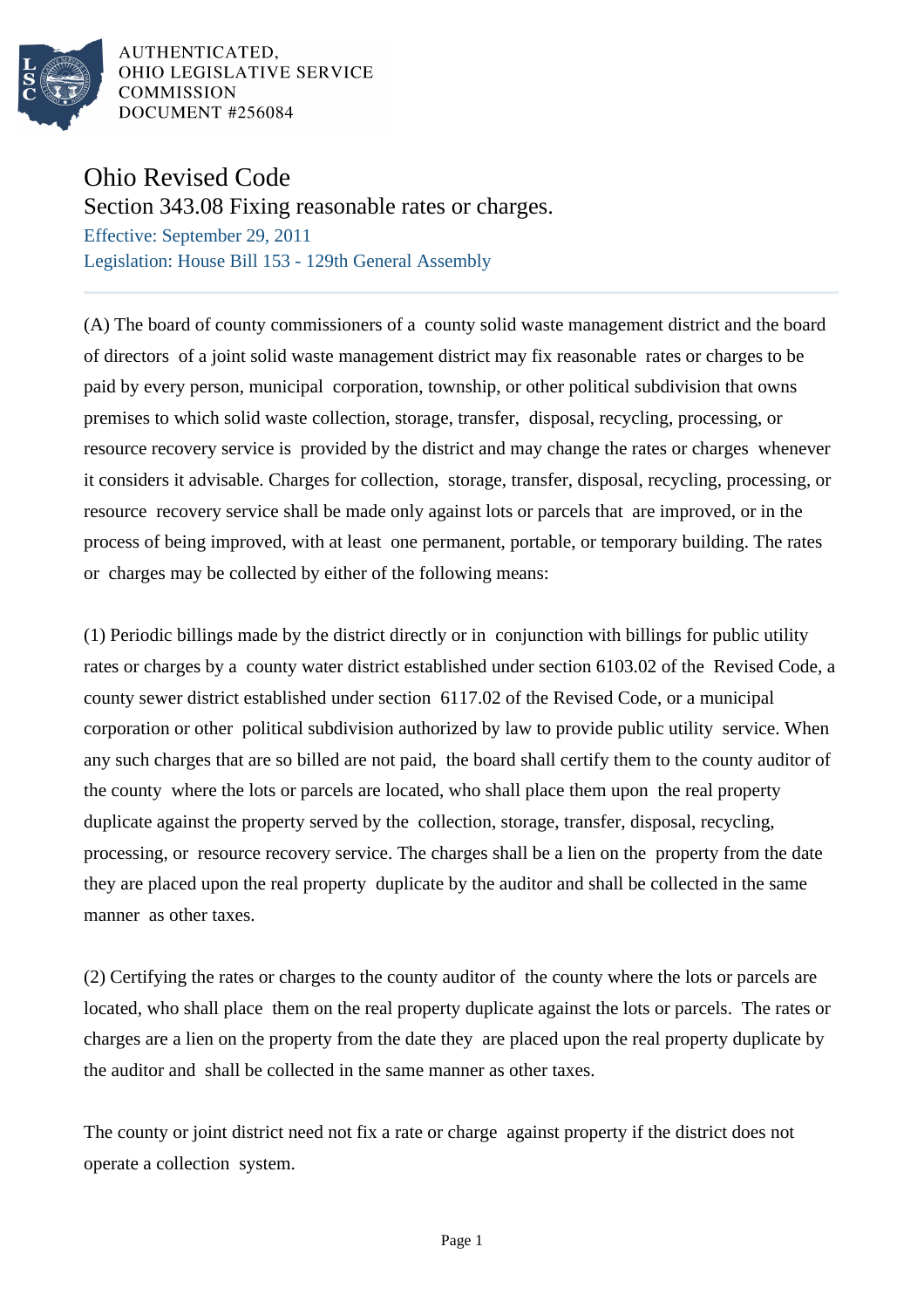

AUTHENTICATED. OHIO LEGISLATIVE SERVICE **COMMISSION** DOCUMENT #256084

## Ohio Revised Code

Section 343.08 Fixing reasonable rates or charges.

Effective: September 29, 2011 Legislation: House Bill 153 - 129th General Assembly

(A) The board of county commissioners of a county solid waste management district and the board of directors of a joint solid waste management district may fix reasonable rates or charges to be paid by every person, municipal corporation, township, or other political subdivision that owns premises to which solid waste collection, storage, transfer, disposal, recycling, processing, or resource recovery service is provided by the district and may change the rates or charges whenever it considers it advisable. Charges for collection, storage, transfer, disposal, recycling, processing, or resource recovery service shall be made only against lots or parcels that are improved, or in the process of being improved, with at least one permanent, portable, or temporary building. The rates or charges may be collected by either of the following means:

(1) Periodic billings made by the district directly or in conjunction with billings for public utility rates or charges by a county water district established under section 6103.02 of the Revised Code, a county sewer district established under section 6117.02 of the Revised Code, or a municipal corporation or other political subdivision authorized by law to provide public utility service. When any such charges that are so billed are not paid, the board shall certify them to the county auditor of the county where the lots or parcels are located, who shall place them upon the real property duplicate against the property served by the collection, storage, transfer, disposal, recycling, processing, or resource recovery service. The charges shall be a lien on the property from the date they are placed upon the real property duplicate by the auditor and shall be collected in the same manner as other taxes.

(2) Certifying the rates or charges to the county auditor of the county where the lots or parcels are located, who shall place them on the real property duplicate against the lots or parcels. The rates or charges are a lien on the property from the date they are placed upon the real property duplicate by the auditor and shall be collected in the same manner as other taxes.

The county or joint district need not fix a rate or charge against property if the district does not operate a collection system.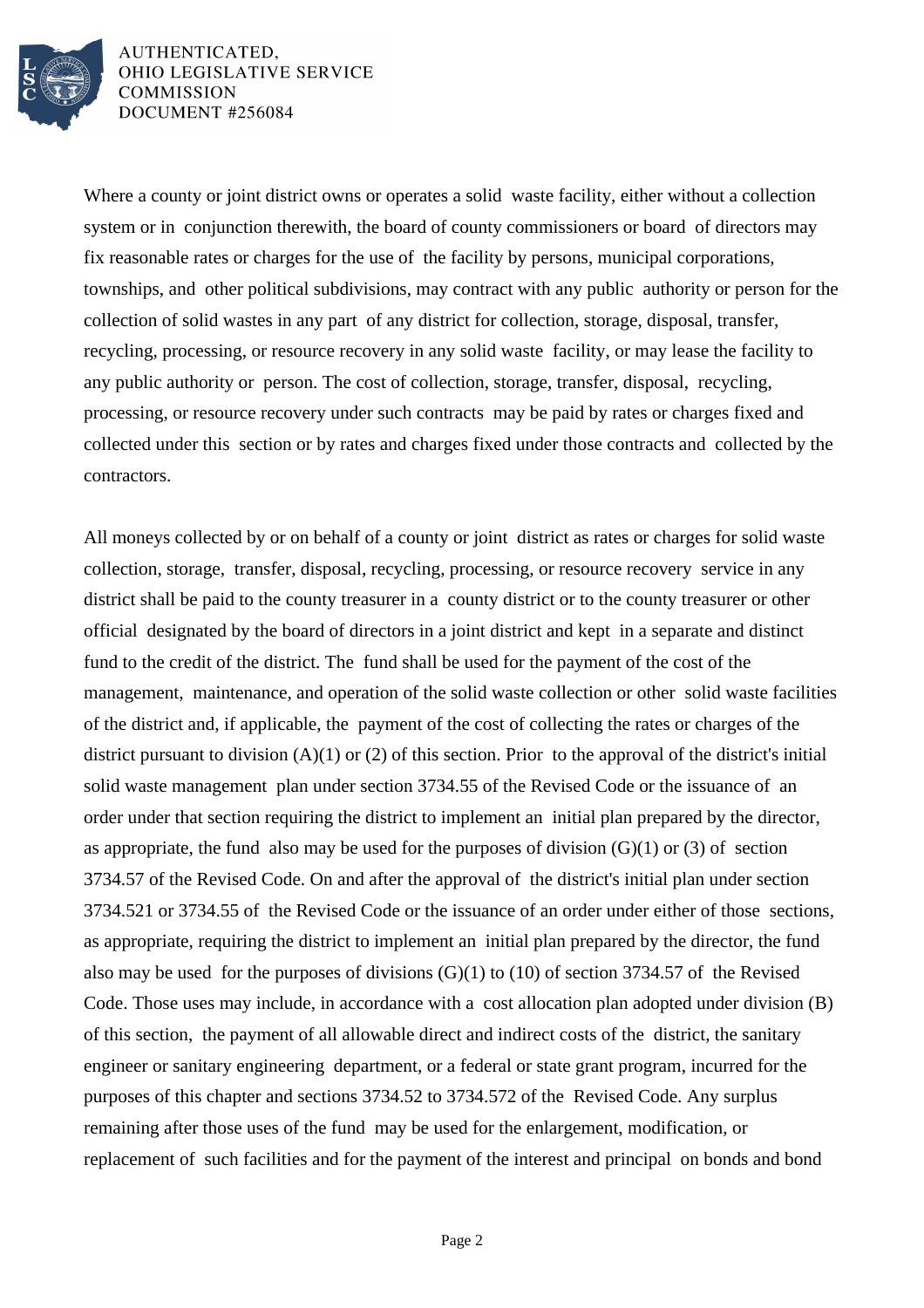

AUTHENTICATED, OHIO LEGISLATIVE SERVICE **COMMISSION** DOCUMENT #256084

Where a county or joint district owns or operates a solid waste facility, either without a collection system or in conjunction therewith, the board of county commissioners or board of directors may fix reasonable rates or charges for the use of the facility by persons, municipal corporations, townships, and other political subdivisions, may contract with any public authority or person for the collection of solid wastes in any part of any district for collection, storage, disposal, transfer, recycling, processing, or resource recovery in any solid waste facility, or may lease the facility to any public authority or person. The cost of collection, storage, transfer, disposal, recycling, processing, or resource recovery under such contracts may be paid by rates or charges fixed and collected under this section or by rates and charges fixed under those contracts and collected by the contractors.

All moneys collected by or on behalf of a county or joint district as rates or charges for solid waste collection, storage, transfer, disposal, recycling, processing, or resource recovery service in any district shall be paid to the county treasurer in a county district or to the county treasurer or other official designated by the board of directors in a joint district and kept in a separate and distinct fund to the credit of the district. The fund shall be used for the payment of the cost of the management, maintenance, and operation of the solid waste collection or other solid waste facilities of the district and, if applicable, the payment of the cost of collecting the rates or charges of the district pursuant to division (A)(1) or (2) of this section. Prior to the approval of the district's initial solid waste management plan under section 3734.55 of the Revised Code or the issuance of an order under that section requiring the district to implement an initial plan prepared by the director, as appropriate, the fund also may be used for the purposes of division  $(G)(1)$  or  $(3)$  of section 3734.57 of the Revised Code. On and after the approval of the district's initial plan under section 3734.521 or 3734.55 of the Revised Code or the issuance of an order under either of those sections, as appropriate, requiring the district to implement an initial plan prepared by the director, the fund also may be used for the purposes of divisions  $(G)(1)$  to  $(10)$  of section 3734.57 of the Revised Code. Those uses may include, in accordance with a cost allocation plan adopted under division (B) of this section, the payment of all allowable direct and indirect costs of the district, the sanitary engineer or sanitary engineering department, or a federal or state grant program, incurred for the purposes of this chapter and sections 3734.52 to 3734.572 of the Revised Code. Any surplus remaining after those uses of the fund may be used for the enlargement, modification, or replacement of such facilities and for the payment of the interest and principal on bonds and bond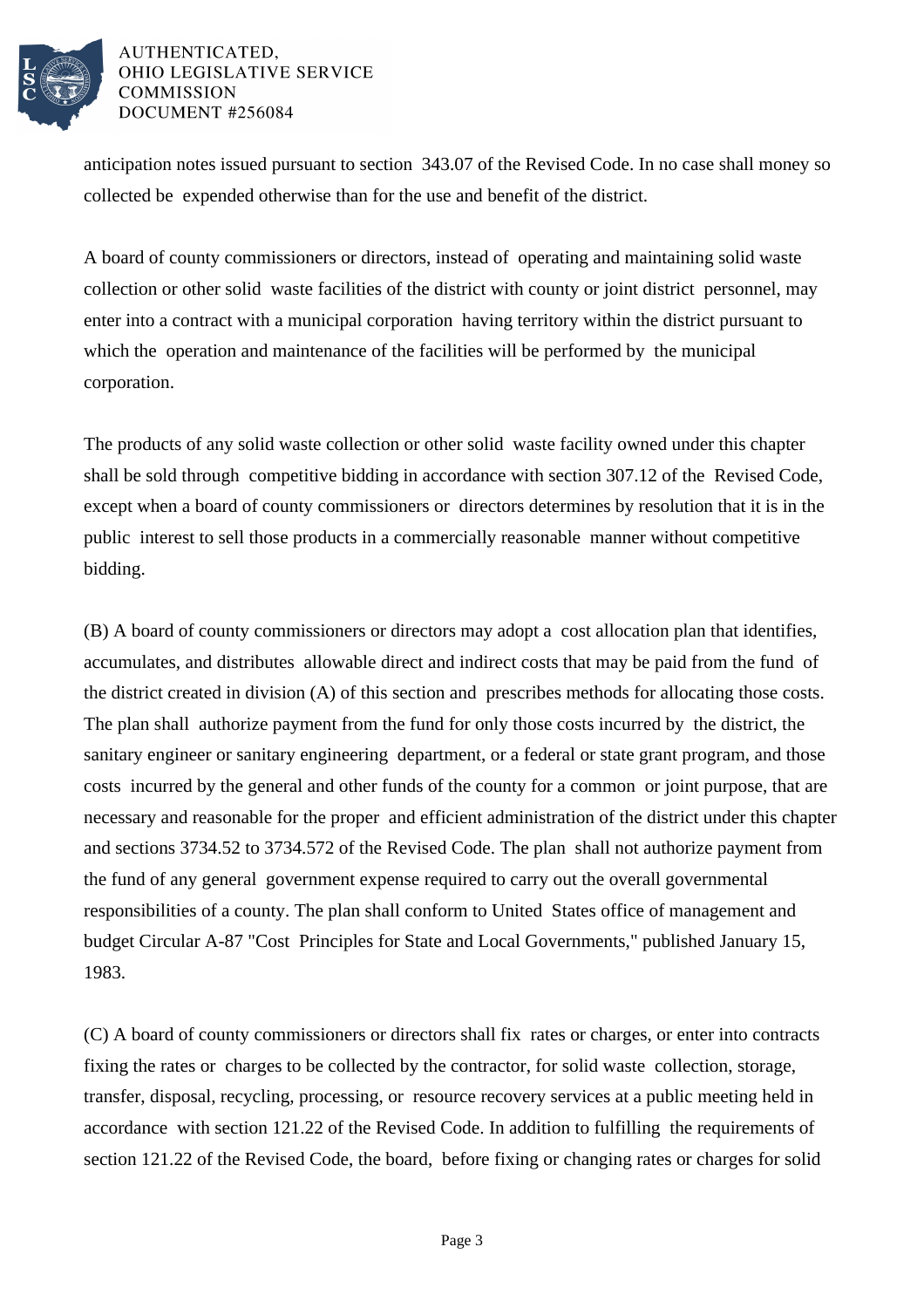

## AUTHENTICATED, OHIO LEGISLATIVE SERVICE **COMMISSION** DOCUMENT #256084

anticipation notes issued pursuant to section 343.07 of the Revised Code. In no case shall money so collected be expended otherwise than for the use and benefit of the district.

A board of county commissioners or directors, instead of operating and maintaining solid waste collection or other solid waste facilities of the district with county or joint district personnel, may enter into a contract with a municipal corporation having territory within the district pursuant to which the operation and maintenance of the facilities will be performed by the municipal corporation.

The products of any solid waste collection or other solid waste facility owned under this chapter shall be sold through competitive bidding in accordance with section 307.12 of the Revised Code, except when a board of county commissioners or directors determines by resolution that it is in the public interest to sell those products in a commercially reasonable manner without competitive bidding.

(B) A board of county commissioners or directors may adopt a cost allocation plan that identifies, accumulates, and distributes allowable direct and indirect costs that may be paid from the fund of the district created in division (A) of this section and prescribes methods for allocating those costs. The plan shall authorize payment from the fund for only those costs incurred by the district, the sanitary engineer or sanitary engineering department, or a federal or state grant program, and those costs incurred by the general and other funds of the county for a common or joint purpose, that are necessary and reasonable for the proper and efficient administration of the district under this chapter and sections 3734.52 to 3734.572 of the Revised Code. The plan shall not authorize payment from the fund of any general government expense required to carry out the overall governmental responsibilities of a county. The plan shall conform to United States office of management and budget Circular A-87 "Cost Principles for State and Local Governments," published January 15, 1983.

(C) A board of county commissioners or directors shall fix rates or charges, or enter into contracts fixing the rates or charges to be collected by the contractor, for solid waste collection, storage, transfer, disposal, recycling, processing, or resource recovery services at a public meeting held in accordance with section 121.22 of the Revised Code. In addition to fulfilling the requirements of section 121.22 of the Revised Code, the board, before fixing or changing rates or charges for solid